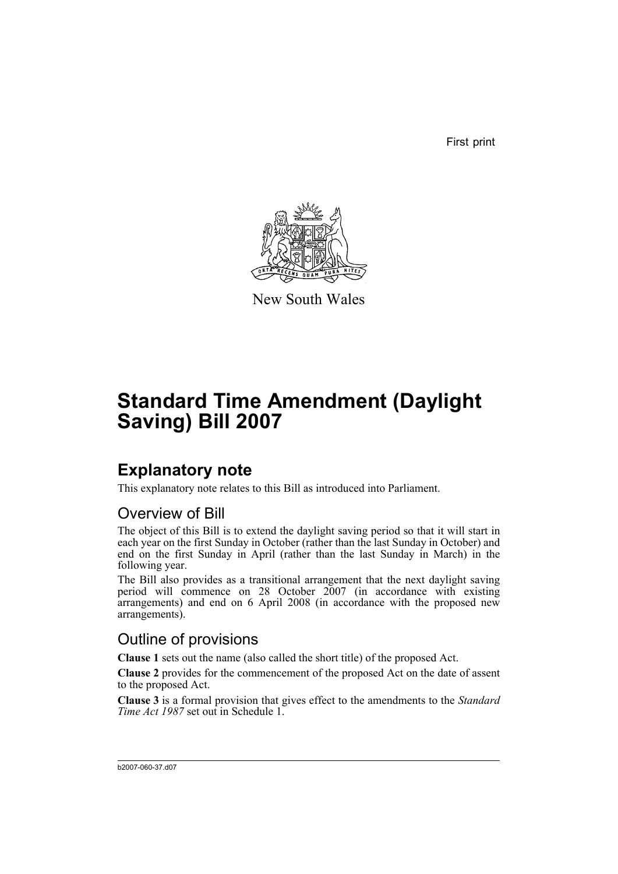First print



New South Wales

# **Standard Time Amendment (Daylight Saving) Bill 2007**

## **Explanatory note**

This explanatory note relates to this Bill as introduced into Parliament.

### Overview of Bill

The object of this Bill is to extend the daylight saving period so that it will start in each year on the first Sunday in October (rather than the last Sunday in October) and end on the first Sunday in April (rather than the last Sunday in March) in the following year.

The Bill also provides as a transitional arrangement that the next daylight saving period will commence on 28 October 2007 (in accordance with existing arrangements) and end on 6 April 2008 (in accordance with the proposed new arrangements).

### Outline of provisions

**Clause 1** sets out the name (also called the short title) of the proposed Act.

**Clause 2** provides for the commencement of the proposed Act on the date of assent to the proposed Act.

**Clause 3** is a formal provision that gives effect to the amendments to the *Standard Time Act 1987* set out in Schedule 1.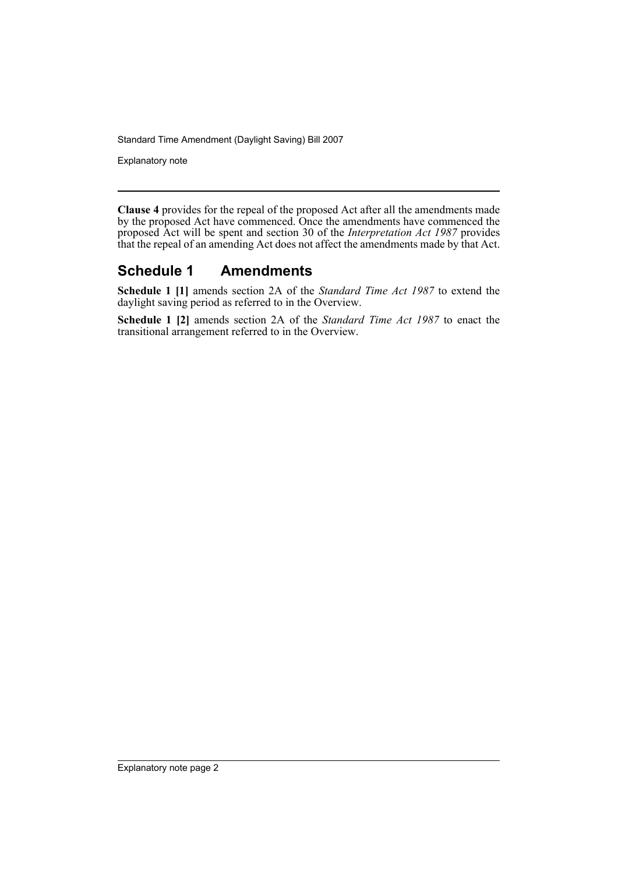Standard Time Amendment (Daylight Saving) Bill 2007

Explanatory note

**Clause 4** provides for the repeal of the proposed Act after all the amendments made by the proposed Act have commenced. Once the amendments have commenced the proposed Act will be spent and section 30 of the *Interpretation Act 1987* provides that the repeal of an amending Act does not affect the amendments made by that Act.

### **Schedule 1 Amendments**

**Schedule 1 [1]** amends section 2A of the *Standard Time Act 1987* to extend the daylight saving period as referred to in the Overview.

**Schedule 1 [2]** amends section 2A of the *Standard Time Act 1987* to enact the transitional arrangement referred to in the Overview.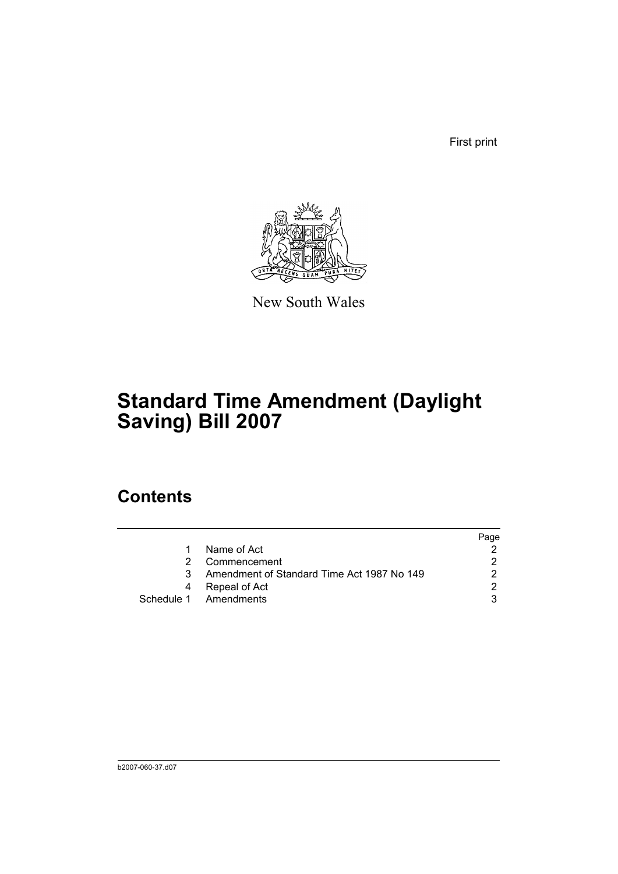First print



New South Wales

# **Standard Time Amendment (Daylight Saving) Bill 2007**

## **Contents**

|   |                                            | Page |
|---|--------------------------------------------|------|
| 1 | Name of Act                                |      |
|   | Commencement                               | າ    |
| 3 | Amendment of Standard Time Act 1987 No 149 |      |
| 4 | Repeal of Act                              | ◠    |
|   | Schedule 1 Amendments                      |      |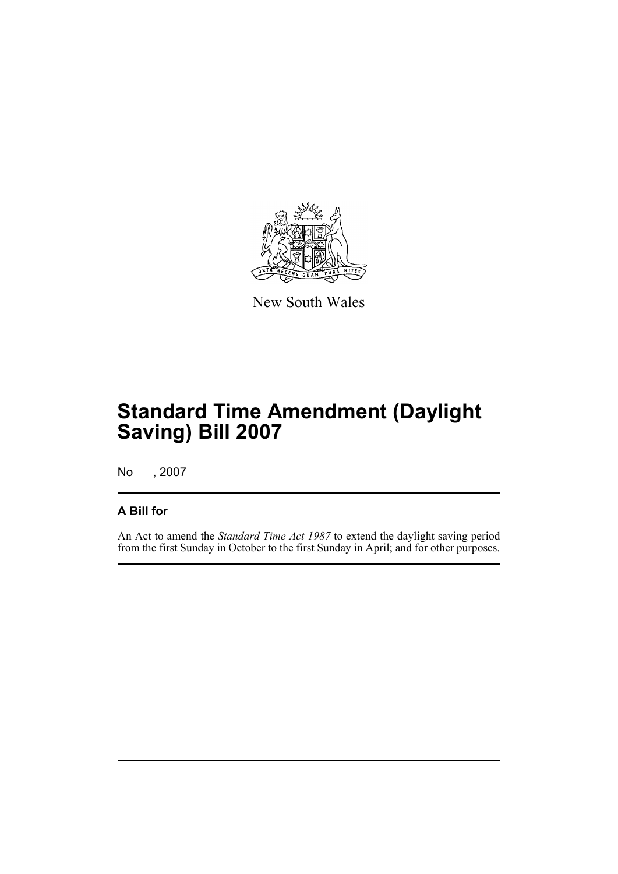

New South Wales

# **Standard Time Amendment (Daylight Saving) Bill 2007**

No , 2007

#### **A Bill for**

An Act to amend the *Standard Time Act 1987* to extend the daylight saving period from the first Sunday in October to the first Sunday in April; and for other purposes.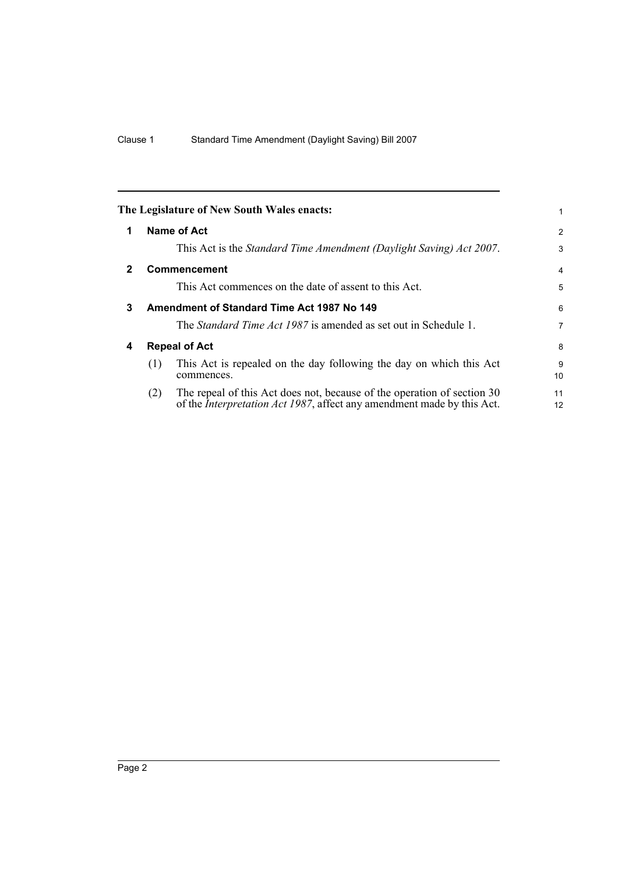<span id="page-5-3"></span><span id="page-5-2"></span><span id="page-5-1"></span><span id="page-5-0"></span>

|              |     | The Legislature of New South Wales enacts:                                                                                                                |                |
|--------------|-----|-----------------------------------------------------------------------------------------------------------------------------------------------------------|----------------|
|              |     |                                                                                                                                                           |                |
| 1            |     | <b>Name of Act</b>                                                                                                                                        | $\overline{2}$ |
|              |     | This Act is the Standard Time Amendment (Daylight Saving) Act 2007.                                                                                       | 3              |
| $\mathbf{2}$ |     | <b>Commencement</b>                                                                                                                                       | 4              |
|              |     | This Act commences on the date of assent to this Act.                                                                                                     | 5              |
| 3            |     | Amendment of Standard Time Act 1987 No 149                                                                                                                | 6              |
|              |     | The <i>Standard Time Act 1987</i> is amended as set out in Schedule 1.                                                                                    | 7              |
| 4            |     | <b>Repeal of Act</b>                                                                                                                                      | 8              |
|              | (1) | This Act is repealed on the day following the day on which this Act<br>commences.                                                                         | 9<br>10        |
|              | (2) | The repeal of this Act does not, because of the operation of section 30<br>of the <i>Interpretation Act 1987</i> , affect any amendment made by this Act. | 11<br>12       |